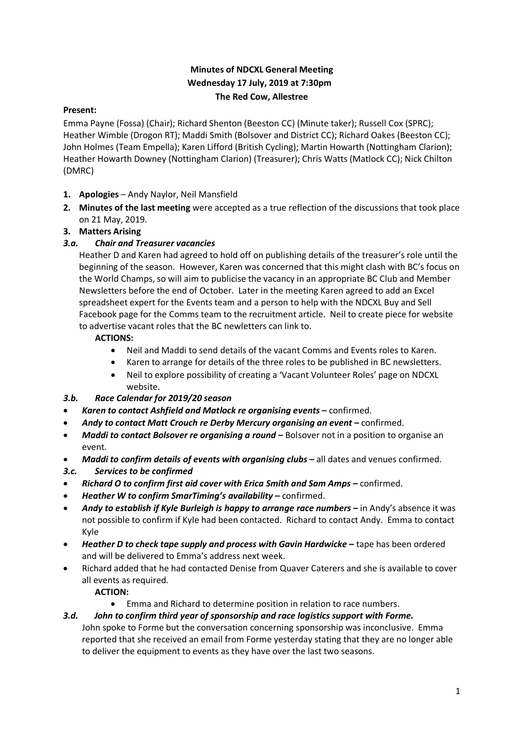# **Minutes of NDCXL General Meeting Wednesday 17 July, 2019 at 7:30pm The Red Cow, Allestree**

## **Present:**

Emma Payne (Fossa) (Chair); Richard Shenton (Beeston CC) (Minute taker); Russell Cox (SPRC); Heather Wimble (Drogon RT); Maddi Smith (Bolsover and District CC); Richard Oakes (Beeston CC); John Holmes (Team Empella); Karen Lifford (British Cycling); Martin Howarth (Nottingham Clarion); Heather Howarth Downey (Nottingham Clarion) (Treasurer); Chris Watts (Matlock CC); Nick Chilton (DMRC)

- **1. Apologies** Andy Naylor, Neil Mansfield
- **2. Minutes of the last meeting** were accepted as a true reflection of the discussions that took place on 21 May, 2019.

## **3. Matters Arising**

## *3.a. Chair and Treasurer vacancies*

Heather D and Karen had agreed to hold off on publishing details of the treasurer's role until the beginning of the season. However, Karen was concerned that this might clash with BC's focus on the World Champs, so will aim to publicise the vacancy in an appropriate BC Club and Member Newsletters before the end of October. Later in the meeting Karen agreed to add an Excel spreadsheet expert for the Events team and a person to help with the NDCXL Buy and Sell Facebook page for the Comms team to the recruitment article. Neil to create piece for website to advertise vacant roles that the BC newletters can link to.

## **ACTIONS:**

- Neil and Maddi to send details of the vacant Comms and Events roles to Karen.
- Karen to arrange for details of the three roles to be published in BC newsletters.
- Neil to explore possibility of creating a 'Vacant Volunteer Roles' page on NDCXL website.

## *3.b. Race Calendar for 2019/20 season*

- *Karen to contact Ashfield and Matlock re organising events* **–** confirmed.
- *Andy to contact Matt Crouch re Derby Mercury organising an event* **–** confirmed.
- *Maddi to contact Bolsover re organising a round –* Bolsover not in a position to organise an event.
- *Maddi to confirm details of events with organising clubs* **–** all dates and venues confirmed.
- *3.c. Services to be confirmed*
- *Richard O to confirm first aid cover with Erica Smith and Sam Amps –* confirmed.
- *Heather W to confirm SmarTiming's availability* **–** confirmed.
- *Andy to establish if Kyle Burleigh is happy to arrange race numbers* **–** in Andy's absence it was not possible to confirm if Kyle had been contacted. Richard to contact Andy. Emma to contact Kyle
- *Heather D to check tape supply and process with Gavin Hardwicke* **–** tape has been ordered and will be delivered to Emma's address next week.
- Richard added that he had contacted Denise from Quaver Caterers and she is available to cover all events as required.

**ACTION:** 

- Emma and Richard to determine position in relation to race numbers.
- *3.d. John to confirm third year of sponsorship and race logistics support with Forme.*

John spoke to Forme but the conversation concerning sponsorship was inconclusive. Emma reported that she received an email from Forme yesterday stating that they are no longer able to deliver the equipment to events as they have over the last two seasons.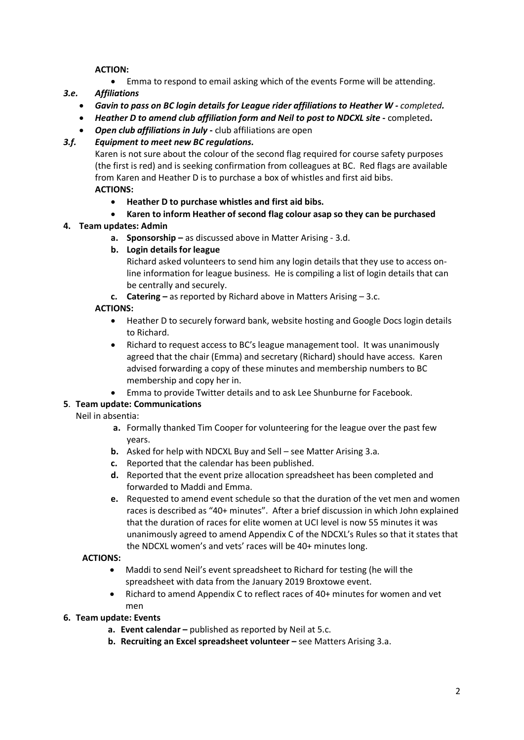## **ACTION:**

• Emma to respond to email asking which of the events Forme will be attending.

## *3.e. Affiliations*

- *Gavin to pass on BC login details for League rider affiliations to Heather W - completed.*
- *Heather D to amend club affiliation form and Neil to post to NDCXL site* **-** completed**.**
- *Open club affiliations in July* **-** club affiliations are open

## *3.f. Equipment to meet new BC regulations.*

Karen is not sure about the colour of the second flag required for course safety purposes (the first is red) and is seeking confirmation from colleagues at BC. Red flags are available from Karen and Heather D is to purchase a box of whistles and first aid bibs. **ACTIONS:** 

- **Heather D to purchase whistles and first aid bibs.**
- **Karen to inform Heather of second flag colour asap so they can be purchased**

## **4. Team updates: Admin**

- **a. Sponsorship –** as discussed above in Matter Arising 3.d.
- **b. Login details for league**

Richard asked volunteers to send him any login details that they use to access online information for league business. He is compiling a list of login details that can be centrally and securely.

**c. Catering –** as reported by Richard above in Matters Arising – 3.c.

## **ACTIONS:**

- Heather D to securely forward bank, website hosting and Google Docs login details to Richard.
- Richard to request access to BC's league management tool. It was unanimously agreed that the chair (Emma) and secretary (Richard) should have access. Karen advised forwarding a copy of these minutes and membership numbers to BC membership and copy her in.
- Emma to provide Twitter details and to ask Lee Shunburne for Facebook.

## **5**. **Team update: Communications**

Neil in absentia:

- **a.** Formally thanked Tim Cooper for volunteering for the league over the past few years.
- **b.** Asked for help with NDCXL Buy and Sell see Matter Arising 3.a.
- **c.** Reported that the calendar has been published.
- **d.** Reported that the event prize allocation spreadsheet has been completed and forwarded to Maddi and Emma.
- **e.** Requested to amend event schedule so that the duration of the vet men and women races is described as "40+ minutes". After a brief discussion in which John explained that the duration of races for elite women at UCI level is now 55 minutes it was unanimously agreed to amend Appendix C of the NDCXL's Rules so that it states that the NDCXL women's and vets' races will be 40+ minutes long.

## **ACTIONS:**

- Maddi to send Neil's event spreadsheet to Richard for testing (he will the spreadsheet with data from the January 2019 Broxtowe event.
- Richard to amend Appendix C to reflect races of 40+ minutes for women and vet men
- **6. Team update: Events**
	- **a. Event calendar –** published as reported by Neil at 5.c.
	- **b. Recruiting an Excel spreadsheet volunteer –** see Matters Arising 3.a.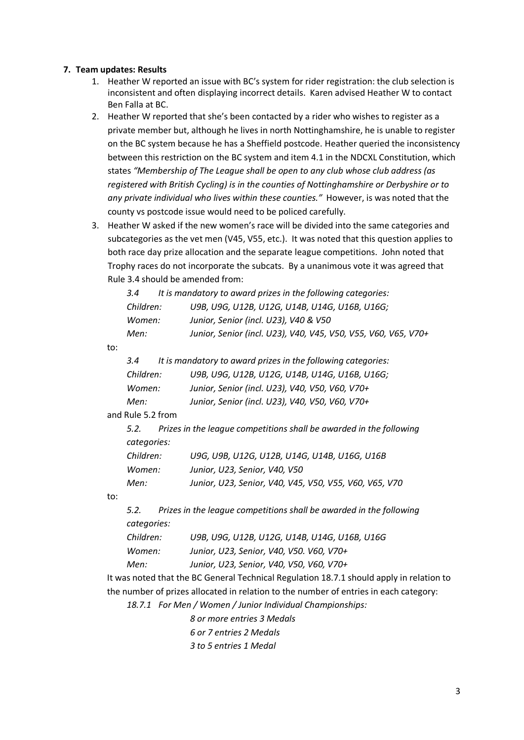#### **7. Team updates: Results**

- 1. Heather W reported an issue with BC's system for rider registration: the club selection is inconsistent and often displaying incorrect details. Karen advised Heather W to contact Ben Falla at BC.
- 2. Heather W reported that she's been contacted by a rider who wishes to register as a private member but, although he lives in north Nottinghamshire, he is unable to register on the BC system because he has a Sheffield postcode. Heather queried the inconsistency between this restriction on the BC system and item 4.1 in the NDCXL Constitution, which states *"Membership of The League shall be open to any club whose club address (as registered with British Cycling) is in the counties of Nottinghamshire or Derbyshire or to any private individual who lives within these counties."* However, is was noted that the county vs postcode issue would need to be policed carefully.
- 3. Heather W asked if the new women's race will be divided into the same categories and subcategories as the vet men (V45, V55, etc.). It was noted that this question applies to both race day prize allocation and the separate league competitions. John noted that Trophy races do not incorporate the subcats. By a unanimous vote it was agreed that Rule 3.4 should be amended from:

|     | 3.4                 |  | It is mandatory to award prizes in the following categories:                                                                                         |  |
|-----|---------------------|--|------------------------------------------------------------------------------------------------------------------------------------------------------|--|
|     | Children:<br>Women: |  | U9B, U9G, U12B, U12G, U14B, U14G, U16B, U16G;                                                                                                        |  |
|     |                     |  | Junior, Senior (incl. U23), V40 & V50                                                                                                                |  |
|     | Men:                |  | Junior, Senior (incl. U23), V40, V45, V50, V55, V60, V65, V70+                                                                                       |  |
| to: |                     |  |                                                                                                                                                      |  |
|     | 3.4                 |  | It is mandatory to award prizes in the following categories:                                                                                         |  |
|     | Children:           |  | U9B, U9G, U12B, U12G, U14B, U14G, U16B, U16G;                                                                                                        |  |
|     | Women:              |  | Junior, Senior (incl. U23), V40, V50, V60, V70+                                                                                                      |  |
|     | Men:                |  | Junior, Senior (incl. U23), V40, V50, V60, V70+                                                                                                      |  |
|     | and Rule 5.2 from   |  |                                                                                                                                                      |  |
|     | 5.2.                |  | Prizes in the league competitions shall be awarded in the following                                                                                  |  |
|     | categories:         |  |                                                                                                                                                      |  |
|     | Children:<br>Women: |  | U9G, U9B, U12G, U12B, U14G, U14B, U16G, U16B                                                                                                         |  |
|     |                     |  | Junior, U23, Senior, V40, V50                                                                                                                        |  |
|     | Men:                |  | Junior, U23, Senior, V40, V45, V50, V55, V60, V65, V70                                                                                               |  |
| to: |                     |  |                                                                                                                                                      |  |
|     | 5.2.                |  | Prizes in the league competitions shall be awarded in the following                                                                                  |  |
|     | categories:         |  |                                                                                                                                                      |  |
|     | Children:           |  | U9B, U9G, U12B, U12G, U14B, U14G, U16B, U16G                                                                                                         |  |
|     | Women:              |  | Junior, U23, Senior, V40, V50. V60, V70+                                                                                                             |  |
|     | Men:                |  | Junior, U23, Senior, V40, V50, V60, V70+                                                                                                             |  |
|     |                     |  | $\mathbf{F}$ and $\mathbf{F}$ and $\mathbf{F}$ and $\mathbf{F}$ and $\mathbf{F}$ and $\mathbf{F}$ and $\mathbf{F}$ and $\mathbf{F}$ and $\mathbf{F}$ |  |

It was noted that the BC General Technical Regulation 18.7.1 should apply in relation to the number of prizes allocated in relation to the number of entries in each category:

*18.7.1 For Men / Women / Junior Individual Championships:*

*8 or more entries 3 Medals 6 or 7 entries 2 Medals*

*3 to 5 entries 1 Medal*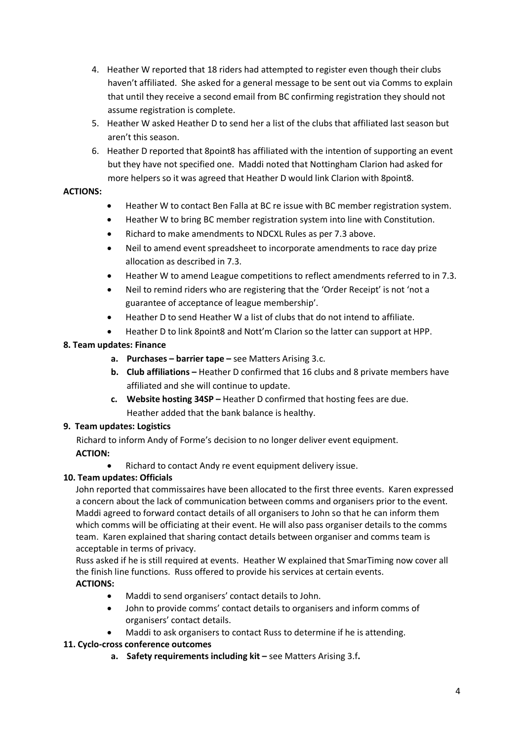- 4. Heather W reported that 18 riders had attempted to register even though their clubs haven't affiliated. She asked for a general message to be sent out via Comms to explain that until they receive a second email from BC confirming registration they should not assume registration is complete.
- 5. Heather W asked Heather D to send her a list of the clubs that affiliated last season but aren't this season.
- 6. Heather D reported that 8point8 has affiliated with the intention of supporting an event but they have not specified one. Maddi noted that Nottingham Clarion had asked for more helpers so it was agreed that Heather D would link Clarion with 8point8.

## **ACTIONS:**

- Heather W to contact Ben Falla at BC re issue with BC member registration system.
- Heather W to bring BC member registration system into line with Constitution.
- Richard to make amendments to NDCXL Rules as per 7.3 above.
- Neil to amend event spreadsheet to incorporate amendments to race day prize allocation as described in 7.3.
- Heather W to amend League competitions to reflect amendments referred to in 7.3.
- Neil to remind riders who are registering that the 'Order Receipt' is not 'not a guarantee of acceptance of league membership'.
- Heather D to send Heather W a list of clubs that do not intend to affiliate.
- Heather D to link 8point8 and Nott'm Clarion so the latter can support at HPP.

# **8. Team updates: Finance**

- **a. Purchases – barrier tape –** see Matters Arising 3.c.
- **b. Club affiliations –** Heather D confirmed that 16 clubs and 8 private members have affiliated and she will continue to update.
- **c. Website hosting 34SP –** Heather D confirmed that hosting fees are due. Heather added that the bank balance is healthy.

## **9. Team updates: Logistics**

Richard to inform Andy of Forme's decision to no longer deliver event equipment. **ACTION:** 

• Richard to contact Andy re event equipment delivery issue.

# **10. Team updates: Officials**

John reported that commissaires have been allocated to the first three events. Karen expressed a concern about the lack of communication between comms and organisers prior to the event. Maddi agreed to forward contact details of all organisers to John so that he can inform them which comms will be officiating at their event. He will also pass organiser details to the comms team. Karen explained that sharing contact details between organiser and comms team is acceptable in terms of privacy.

Russ asked if he is still required at events. Heather W explained that SmarTiming now cover all the finish line functions. Russ offered to provide his services at certain events. **ACTIONS:** 

- Maddi to send organisers' contact details to John.
- John to provide comms' contact details to organisers and inform comms of organisers' contact details.
- Maddi to ask organisers to contact Russ to determine if he is attending.

# **11. Cyclo-cross conference outcomes**

**a. Safety requirements including kit –** see Matters Arising 3.f**.**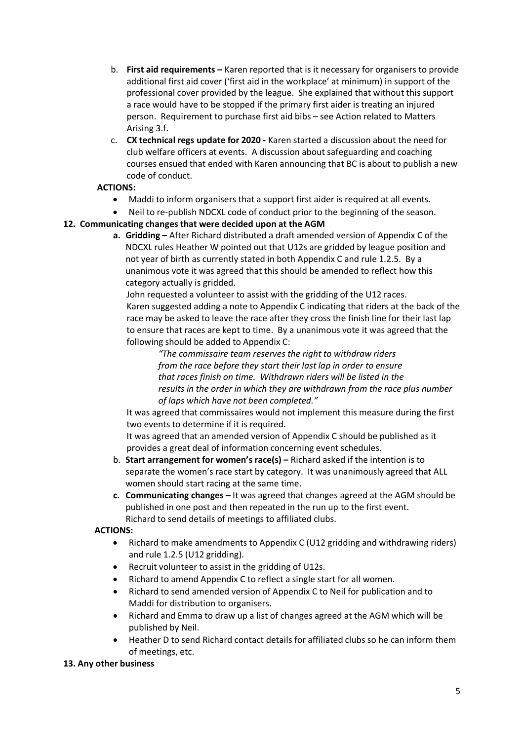- b. **First aid requirements –** Karen reported that is it necessary for organisers to provide additional first aid cover ('first aid in the workplace' at minimum) in support of the professional cover provided by the league. She explained that without this support a race would have to be stopped if the primary first aider is treating an injured person. Requirement to purchase first aid bibs – see Action related to Matters Arising 3.f.
- c. **CX technical regs update for 2020 -** Karen started a discussion about the need for club welfare officers at events. A discussion about safeguarding and coaching courses ensued that ended with Karen announcing that BC is about to publish a new code of conduct.

## **ACTIONS:**

- Maddi to inform organisers that a support first aider is required at all events.
- Neil to re-publish NDCXL code of conduct prior to the beginning of the season.

## **12. Communicating changes that were decided upon at the AGM**

**a. Gridding –** After Richard distributed a draft amended version of Appendix C of the NDCXL rules Heather W pointed out that U12s are gridded by league position and not year of birth as currently stated in both Appendix C and rule 1.2.5. By a unanimous vote it was agreed that this should be amended to reflect how this category actually is gridded.

John requested a volunteer to assist with the gridding of the U12 races. Karen suggested adding a note to Appendix C indicating that riders at the back of the race may be asked to leave the race after they cross the finish line for their last lap to ensure that races are kept to time. By a unanimous vote it was agreed that the following should be added to Appendix C:

*"The commissaire team reserves the right to withdraw riders from the race before they start their last lap in order to ensure that races finish on time. Withdrawn riders will be listed in the results in the order in which they are withdrawn from the race plus number of laps which have not been completed."*

It was agreed that commissaires would not implement this measure during the first two events to determine if it is required.

It was agreed that an amended version of Appendix C should be published as it provides a great deal of information concerning event schedules.

- b. **Start arrangement for women's race(s) –** Richard asked if the intention is to separate the women's race start by category. It was unanimously agreed that ALL women should start racing at the same time.
- **c. Communicating changes –** It was agreed that changes agreed at the AGM should be published in one post and then repeated in the run up to the first event. Richard to send details of meetings to affiliated clubs.

## **ACTIONS:**

- Richard to make amendments to Appendix C (U12 gridding and withdrawing riders) and rule 1.2.5 (U12 gridding).
- Recruit volunteer to assist in the gridding of U12s.
- Richard to amend Appendix C to reflect a single start for all women.
- Richard to send amended version of Appendix C to Neil for publication and to Maddi for distribution to organisers.
- Richard and Emma to draw up a list of changes agreed at the AGM which will be published by Neil.
- Heather D to send Richard contact details for affiliated clubs so he can inform them of meetings, etc.

## **13. Any other business**